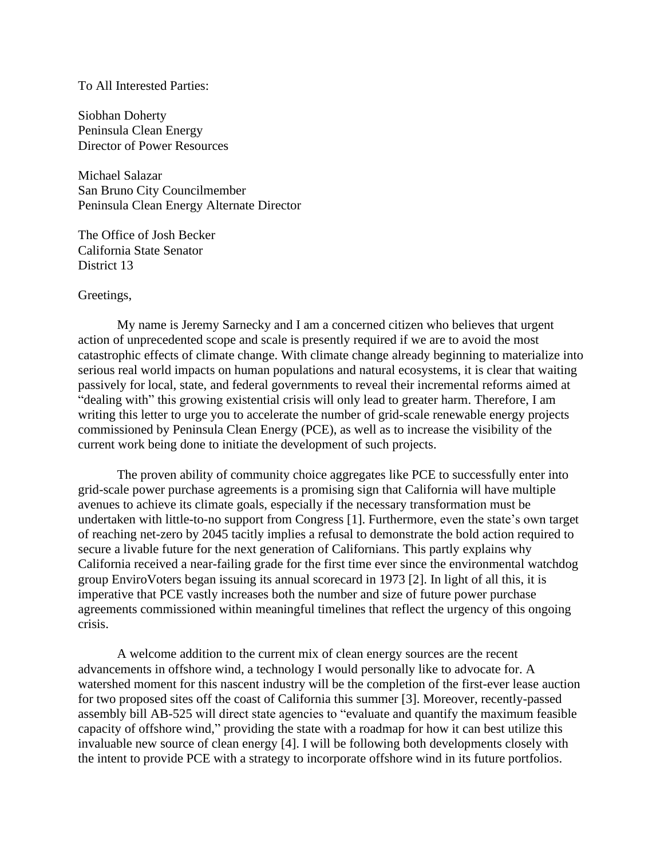## To All Interested Parties:

Siobhan Doherty Peninsula Clean Energy Director of Power Resources

Michael Salazar San Bruno City Councilmember Peninsula Clean Energy Alternate Director

The Office of Josh Becker California State Senator District 13

## Greetings,

My name is Jeremy Sarnecky and I am a concerned citizen who believes that urgent action of unprecedented scope and scale is presently required if we are to avoid the most catastrophic effects of climate change. With climate change already beginning to materialize into serious real world impacts on human populations and natural ecosystems, it is clear that waiting passively for local, state, and federal governments to reveal their incremental reforms aimed at "dealing with" this growing existential crisis will only lead to greater harm. Therefore, I am writing this letter to urge you to accelerate the number of grid-scale renewable energy projects commissioned by Peninsula Clean Energy (PCE), as well as to increase the visibility of the current work being done to initiate the development of such projects.

The proven ability of community choice aggregates like PCE to successfully enter into grid-scale power purchase agreements is a promising sign that California will have multiple avenues to achieve its climate goals, especially if the necessary transformation must be undertaken with little-to-no support from Congress [1]. Furthermore, even the state's own target of reaching net-zero by 2045 tacitly implies a refusal to demonstrate the bold action required to secure a livable future for the next generation of Californians. This partly explains why California received a near-failing grade for the first time ever since the environmental watchdog group EnviroVoters began issuing its annual scorecard in 1973 [2]. In light of all this, it is imperative that PCE vastly increases both the number and size of future power purchase agreements commissioned within meaningful timelines that reflect the urgency of this ongoing crisis.

A welcome addition to the current mix of clean energy sources are the recent advancements in offshore wind, a technology I would personally like to advocate for. A watershed moment for this nascent industry will be the completion of the first-ever lease auction for two proposed sites off the coast of California this summer [3]. Moreover, recently-passed assembly bill AB-525 will direct state agencies to "evaluate and quantify the maximum feasible capacity of offshore wind," providing the state with a roadmap for how it can best utilize this invaluable new source of clean energy [4]. I will be following both developments closely with the intent to provide PCE with a strategy to incorporate offshore wind in its future portfolios.